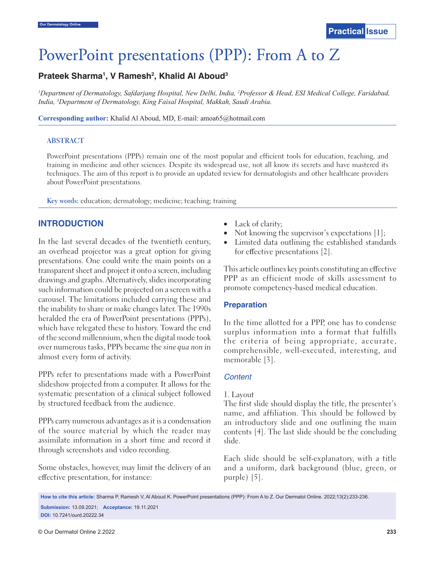# PowerPoint presentations (PPP): From A to Z

# Prateek Sharma<sup>1</sup>, V Ramesh<sup>2</sup>, Khalid Al Aboud<sup>3</sup>

*1 Department of Dermatology, Safdarjang Hospital, New Delhi, India, 2 Professor & Head, ESI Medical College, Faridabad, India, 3 Department of Dermatology, King Faisal Hospital, Makkah, Saudi Arabia.*

**Corresponding author:** Khalid Al Aboud, MD, E-mail: amoa65@hotmail.com

#### **ABSTRACT**

PowerPoint presentations (PPPs) remain one of the most popular and efficient tools for education, teaching, and training in medicine and other sciences. Despite its widespread use, not all know its secrets and have mastered its techniques. The aim of this report is to provide an updated review for dermatologists and other healthcare providers about PowerPoint presentations.

**Key words:** education; dermatology; medicine; teaching; training

## **INTRODUCTION**

In the last several decades of the twentieth century, an overhead projector was a great option for giving presentations. One could write the main points on a transparent sheet and project it onto a screen, including drawings and graphs. Alternatively, slides incorporating such information could be projected on a screen with a carousel. The limitations included carrying these and the inability to share or make changes later. The 1990s heralded the era of PowerPoint presentations (PPPs), which have relegated these to history. Toward the end of the second millennium, when the digital mode took over numerous tasks, PPPs became the *sine qua non* in almost every form of activity.

PPPs refer to presentations made with a PowerPoint slideshow projected from a computer. It allows for the systematic presentation of a clinical subject followed by structured feedback from the audience.

PPPs carry numerous advantages as it is a condensation of the source material by which the reader may assimilate information in a short time and record it through screenshots and video recording.

Some obstacles, however, may limit the delivery of an effective presentation, for instance:

- Lack of clarity;
- Not knowing the supervisor's expectations  $[1]$ ;
- Limited data outlining the established standards for effective presentations [2].

This article outlines key points constituting an effective PPP as an efficient mode of skills assessment to promote competency-based medical education.

#### **Preparation**

In the time allotted for a PPP, one has to condense surplus information into a format that fulfills the criteria of being appropriate, accurate, comprehensible, well-executed, interesting, and memorable [3].

## *Content*

#### 1. Layout

The first slide should display the title, the presenter's name, and affiliation. This should be followed by an introductory slide and one outlining the main contents [4]. The last slide should be the concluding slide.

Each slide should be self-explanatory, with a title and a uniform, dark background (blue, green, or purple) [5].

**How to cite this article:** Sharma P, Ramesh V, Al Aboud K. PowerPoint presentations (PPP): From A to Z. Our Dermatol Online. 2022;13(2):233-236. **Submission:** 13.09.2021; **Acceptance:** 19.11.2021 **DOI:** 10.7241/ourd.20222.34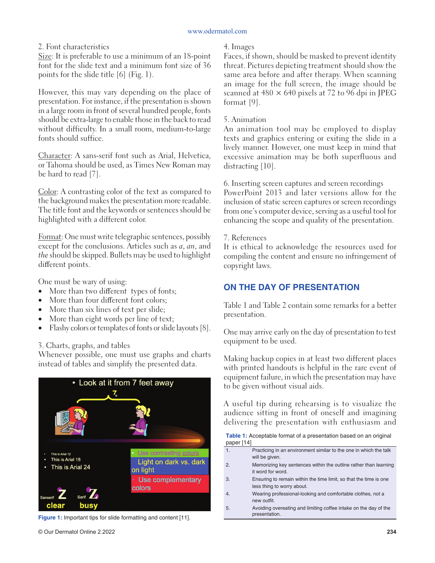## 2. Font characteristics

Size: It is preferable to use a minimum of an 18-point font for the slide text and a minimum font size of 36 points for the slide title [6] (Fig. 1).

However, this may vary depending on the place of presentation. For instance, if the presentation is shown in a large room in front of several hundred people, fonts should be extra-large to enable those in the back to read without difficulty. In a small room, medium-to-large fonts should suffice.

Character: A sans-serif font such as Arial, Helvetica, or Tahoma should be used, as Times New Roman may be hard to read [7].

Color: A contrasting color of the text as compared to the background makes the presentation more readable. The title font and the keywords or sentences should be highlighted with a different color.

Format: One must write telegraphic sentences, possibly except for the conclusions. Articles such as *a*, *an*, and *the* should be skipped. Bullets may be used to highlight different points.

One must be wary of using:

- More than two different types of fonts;
- More than four different font colors;
- More than six lines of text per slide;
- More than eight words per line of text;
- Flashy colors or templates of fonts or slide layouts [8].
- 3. Charts, graphs, and tables

Whenever possible, one must use graphs and charts instead of tables and simplify the presented data.



**Figure 1:** Important tips for slide formatting and content [11].

#### 4. Images

Faces, if shown, should be masked to prevent identity threat. Pictures depicting treatment should show the same area before and after therapy. When scanning an image for the full screen, the image should be scanned at  $480 \times 640$  pixels at 72 to 96 dpi in JPEG format [9].

#### 5. Animation

An animation tool may be employed to display texts and graphics entering or exiting the slide in a lively manner. However, one must keep in mind that excessive animation may be both superfluous and distracting [10].

6. Inserting screen captures and screen recordings PowerPoint 2013 and later versions allow for the inclusion of static screen captures or screen recordings from one's computer device, serving as a useful tool for enhancing the scope and quality of the presentation.

#### 7. References

It is ethical to acknowledge the resources used for compiling the content and ensure no infringement of copyright laws.

# **ON THE DAY OF PRESENTATION**

Table 1 and Table 2 contain some remarks for a better presentation.

One may arrive early on the day of presentation to test equipment to be used.

Making backup copies in at least two different places with printed handouts is helpful in the rare event of equipment failure, in which the presentation may have to be given without visual aids.

A useful tip during rehearsing is to visualize the audience sitting in front of oneself and imagining delivering the presentation with enthusiasm and

**Table 1:** Acceptable format of a presentation based on an original paper [14]

- 1. Practicing in an environment similar to the one in which the talk will be given. 2. Memorizing key sentences within the outline rather than learning it word for word. 3. Ensuring to remain within the time limit, so that the time is one less thing to worry about. 4. Wearing professional-looking and comfortable clothes, not a new outfit.
- 5. Avoiding overeating and limiting coffee intake on the day of the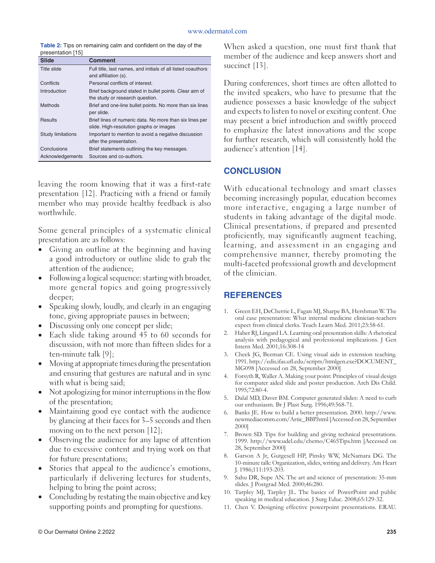**Table 2:** Tips on remaining calm and confident on the day of the presentation [15]

| <b>Slide</b>             | <b>Comment</b>                                                                                     |
|--------------------------|----------------------------------------------------------------------------------------------------|
| Title slide              | Full title, last names, and initials of all listed coauthors<br>and affiliation (s).               |
| Conflicts                | Personal conflicts of interest.                                                                    |
| Introduction             | Brief background stated in bullet points. Clear aim of<br>the study or research question.          |
| <b>Methods</b>           | Brief and one-line bullet points. No more than six lines<br>per slide.                             |
| <b>Results</b>           | Brief lines of numeric data. No more than six lines per<br>slide. High-resolution graphs or images |
| <b>Study limitations</b> | Important to mention to avoid a negative discussion<br>after the presentation.                     |
| Conclusions              | Brief statements outlining the key messages.                                                       |
| Acknowledgements         | Sources and co-authors.                                                                            |

leaving the room knowing that it was a first-rate presentation [12]. Practicing with a friend or family member who may provide healthy feedback is also worthwhile.

Some general principles of a systematic clinical presentation are as follows:

- Giving an outline at the beginning and having a good introductory or outline slide to grab the attention of the audience;
- Following a logical sequence: starting with broader, more general topics and going progressively deeper;
- Speaking slowly, loudly, and clearly in an engaging tone, giving appropriate pauses in between;
- Discussing only one concept per slide;
- Each slide taking around 45 to 60 seconds for discussion, with not more than fifteen slides for a ten-minute talk [9];
- Moving at appropriate times during the presentation and ensuring that gestures are natural and in sync with what is being said;
- Not apologizing for minor interruptions in the flow of the presentation;
- Maintaining good eye contact with the audience by glancing at their faces for 3–5 seconds and then moving on to the next person [12];
- Observing the audience for any lapse of attention due to excessive content and trying work on that for future presentations;
- Stories that appeal to the audience's emotions, particularly if delivering lectures for students, helping to bring the point across;
- Concluding by restating the main objective and key supporting points and prompting for questions.

When asked a question, one must first thank that member of the audience and keep answers short and succinct [13].

During conferences, short times are often allotted to the invited speakers, who have to presume that the audience possesses a basic knowledge of the subject and expects to listen to novel or exciting content. One may present a brief introduction and swiftly proceed to emphasize the latest innovations and the scope for further research, which will consistently hold the audience's attention [14].

## **C ONCLUSION**

With educational technology and smart classes becoming increasingly popular, education becomes more interactive, engaging a large number of students in taking advantage of the digital mode. Clinical presentations, if prepared and presented proficiently, may significantly augment teaching, learning, and assessment in an engaging and comprehensive manner, thereby promoting the multi-faceted professional growth and development of the clinician.

# **REFERENCES**

- 1. Green EH, DeCherrie L, Fagan MJ, Sharpe BA, Hershman W. The oral case presentation: What internal medicine clinician-teachers expect from clinical clerks. Teach Learn Med. 2011;23:58-61.
- 2. Haber RJ, Lingard LA. Learning oral presentation skills: A rhetorical analysis with pedagogical and professional implications. J Gen Intern Med. 2001;16:308-14
- 3. Cheek JG, Beeman CE. Using visual aids in extension teaching. 1991. http://edis.ifas.ufl .edu/scripts/htmlgen.exe?DOCUMENT\_ MG098 [Accessed on 28, September 2000]
- 4. Forsyth R, Waller A. Making your point: Principles of visual design for computer aided slide and poster production. Arch Dis Child. 1995;72:80-4.
- 5. Dalal MD, Daver BM. Computer generated slides: A need to curb our enthusiasm. Br J Plast Surg. 1996;49:568-71.
- 6. Banks JE. How to build a better presentation. 2000. http://www. newmediacomm.com/Artic\_BBP.html [Accessed on 28, September 2000]
- 7. Brown SD. Tips for building and giving technical presentations. 1999. http://www.udel.edu/chemo/C465Tips.htm [Accessed on 28, September 2000]
- 8. Garson A Jr, Gutgesell HP, Pinsky WW, McNamara DG. The 10-minute talk: Organization, slides, writing and delivery. Am Heart J. 1986;111:193-203.
- 9. Sahu DR, Supe AN. The art and science of presentation: 35-mm slides. J Postgrad Med. 2000;46:280.
- 10. Tarpley MJ, Tarpley JL. The basics of PowerPoint and public speaking in medical education. J Surg Educ. 2008;65:129-32.
- 11. Chen V. Designing effective powerpoint presentations. ERAU.